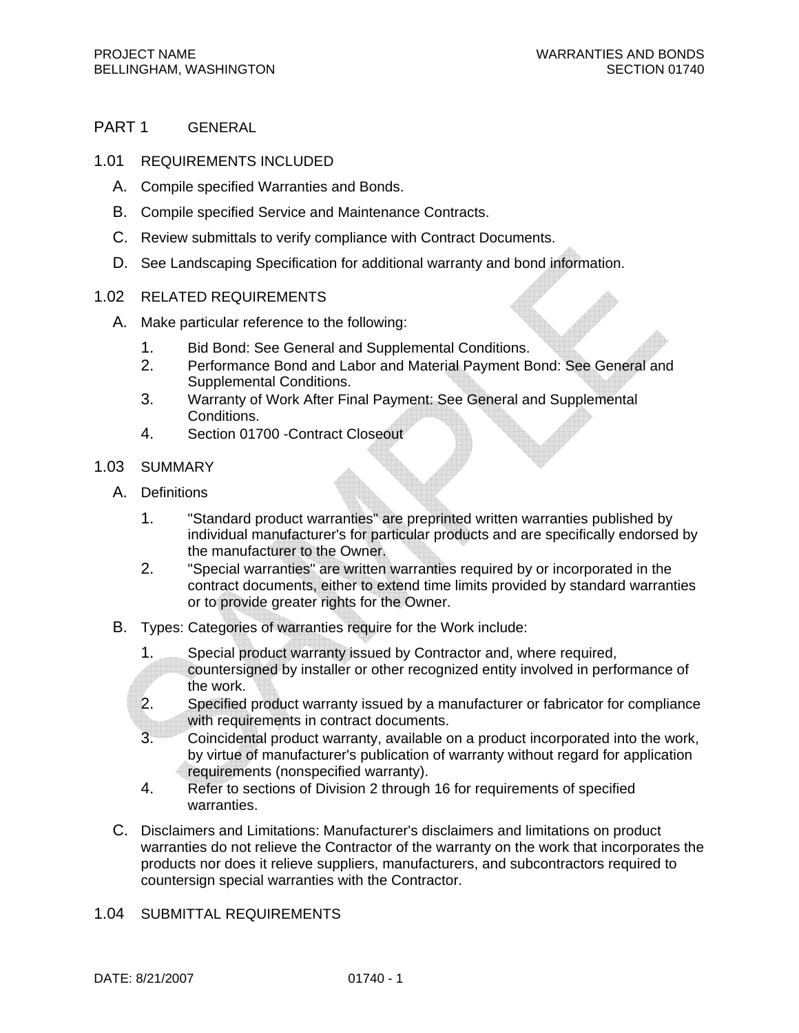## PART 1 GENERAL

- 1.01 REQUIREMENTS INCLUDED
	- A. Compile specified Warranties and Bonds.
	- B. Compile specified Service and Maintenance Contracts.
	- C. Review submittals to verify compliance with Contract Documents.
	- D. See Landscaping Specification for additional warranty and bond information.

## 1.02 RELATED REQUIREMENTS

- A. Make particular reference to the following:
	- 1. Bid Bond: See General and Supplemental Conditions.
	- 2. Performance Bond and Labor and Material Payment Bond: See General and Supplemental Conditions.
	- 3. Warranty of Work After Final Payment: See General and Supplemental Conditions.
	- 4. Section 01700 -Contract Closeout
- 1.03 SUMMARY
	- A. Definitions
		- 1. "Standard product warranties" are preprinted written warranties published by individual manufacturer's for particular products and are specifically endorsed by the manufacturer to the Owner.
		- 2. "Special warranties" are written warranties required by or incorporated in the contract documents, either to extend time limits provided by standard warranties or to provide greater rights for the Owner.
	- B. Types: Categories of warranties require for the Work include:
		- 1. Special product warranty issued by Contractor and, where required, countersigned by installer or other recognized entity involved in performance of the work.
		- 2. Specified product warranty issued by a manufacturer or fabricator for compliance with requirements in contract documents.
		- 3. Coincidental product warranty, available on a product incorporated into the work, by virtue of manufacturer's publication of warranty without regard for application requirements (nonspecified warranty).
		- 4. Refer to sections of Division 2 through 16 for requirements of specified warranties.
	- C. Disclaimers and Limitations: Manufacturer's disclaimers and limitations on product warranties do not relieve the Contractor of the warranty on the work that incorporates the products nor does it relieve suppliers, manufacturers, and subcontractors required to countersign special warranties with the Contractor.
- 1.04 SUBMITTAL REQUIREMENTS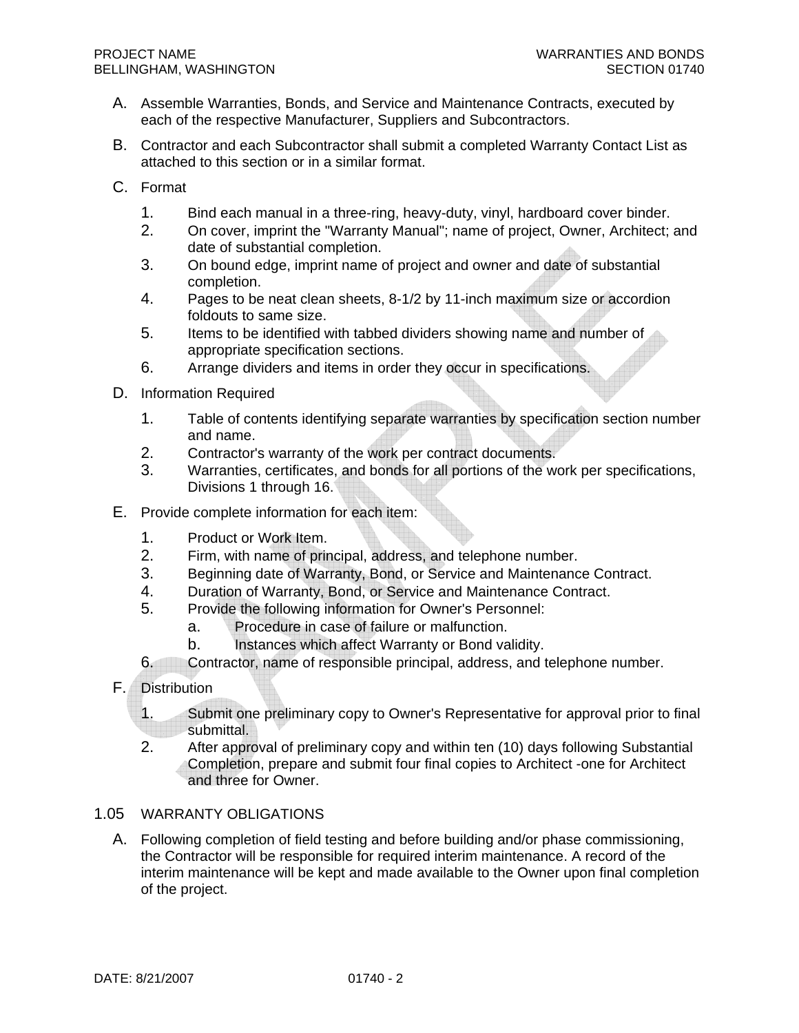- A. Assemble Warranties, Bonds, and Service and Maintenance Contracts, executed by each of the respective Manufacturer, Suppliers and Subcontractors.
- B. Contractor and each Subcontractor shall submit a completed Warranty Contact List as attached to this section or in a similar format.
- C. Format
	- 1. Bind each manual in a three-ring, heavy-duty, vinyl, hardboard cover binder.
	- 2. On cover, imprint the "Warranty Manual"; name of project, Owner, Architect; and date of substantial completion.
	- 3. On bound edge, imprint name of project and owner and date of substantial completion.
	- 4. Pages to be neat clean sheets, 8-1/2 by 11-inch maximum size or accordion foldouts to same size.
	- 5. Items to be identified with tabbed dividers showing name and number of appropriate specification sections.
	- 6. Arrange dividers and items in order they occur in specifications.
- D. Information Required
	- 1. Table of contents identifying separate warranties by specification section number and name.
	- 2. Contractor's warranty of the work per contract documents.
	- 3. Warranties, certificates, and bonds for all portions of the work per specifications, Divisions 1 through 16.
- E. Provide complete information for each item:
	- 1. Product or Work Item.
	- 2. Firm, with name of principal, address, and telephone number.
	- 3. Beginning date of Warranty, Bond, or Service and Maintenance Contract.
	- 4. Duration of Warranty, Bond, or Service and Maintenance Contract.
	- 5. Provide the following information for Owner's Personnel:
		- a. Procedure in case of failure or malfunction.
		- b. Instances which affect Warranty or Bond validity.
	- 6. Contractor, name of responsible principal, address, and telephone number.
- F. Distribution
	- 1. Submit one preliminary copy to Owner's Representative for approval prior to final submittal.
	- 2. After approval of preliminary copy and within ten (10) days following Substantial Completion, prepare and submit four final copies to Architect -one for Architect and three for Owner.

## 1.05 WARRANTY OBLIGATIONS

A. Following completion of field testing and before building and/or phase commissioning, the Contractor will be responsible for required interim maintenance. A record of the interim maintenance will be kept and made available to the Owner upon final completion of the project.